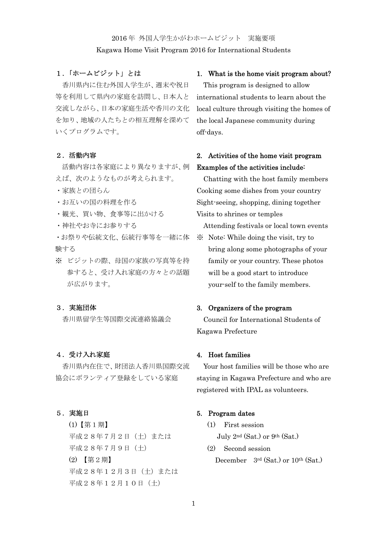#### 2016 年 外国人学生かがわホームビジット 実施要項

#### Kagawa Home Visit Program 2016 for International Students

# 1.「ホームビジット」とは

 香川県内に住む外国人学生が、週末や祝日 等を利用して県内の家庭を訪問し、日本人と 交流しながら、日本の家庭生活や香川の文化 を知り、地域の人たちとの相互理解を深めて いくプログラムです。

#### 2.活動内容

 活動内容は各家庭により異なりますが、例 えば、次のようなものが考えられます。

- ・家族との団らん
- ・お互いの国の料理を作る
- ・観光、買い物、食事等に出かける
- ・神社やお寺にお参りする

・お祭りや伝統文化、伝統行事等を一緒に体 験する

※ ビジットの際、母国の家族の写真等を持 参すると、受け入れ家庭の方々との話題 が広がります。

### 3.実施団体

香川県留学生等国際交流連絡協議会

### 4.受け入れ家庭

 香川県内在住で、財団法人香川県国際交流 協会にボランティア登録をしている家庭

### 5.実施日

(1)【第1期】 平成28年7月2日(土)または 平成28年7月9日(土) (2) 【第2期】 平成28年12月3日(土)または 平成28年12月10日(土)

#### 1. What is the home visit program about?

This program is designed to allow international students to learn about the local culture through visiting the homes of the local Japanese community during off-days.

# 2. Activities of the home visit program Examples of the activities include:

Chatting with the host family members Cooking some dishes from your country Sight-seeing, shopping, dining together Visits to shrines or temples

Attending festivals or local town events

※ Note: While doing the visit, try to bring along some photographs of your family or your country. These photos will be a good start to introduce your-self to the family members.

### 3. Organizers of the program

Council for International Students of Kagawa Prefecture

### 4. Host families

Your host families will be those who are staying in Kagawa Prefecture and who are registered with IPAL as volunteers.

#### 5. Program dates

- (1) First session July 2nd (Sat.) or 9th (Sat.)
- (2) Second session December 3rd (Sat.) or 10th (Sat.)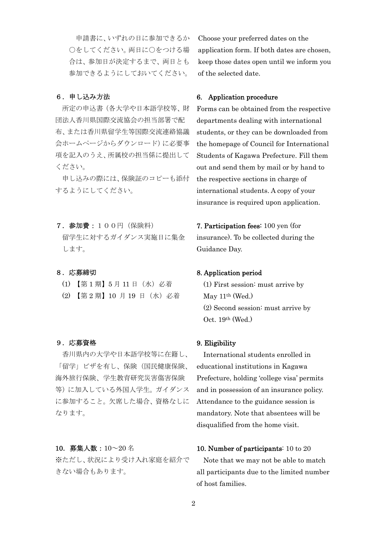申請書に、いずれの日に参加できるか ○をしてください。両日に○をつける場 合は、参加日が決定するまで、両日とも 参加できるようにしておいてください。

### 6.申し込み方法

所定の申込書(各大学や日本語学校等、財 団法人香川県国際交流協会の担当部署で配 布、または香川県留学生等国際交流連絡協議 会ホームページからダウンロード)に必要事 項を記入のうえ、所属校の担当係に提出して ください。

申し込みの際には、保険証のコピーも添付 するようにしてください。

### 7.参加費:100円(保険料)

 留学生に対するガイダンス実施日に集金 します。

#### 8.応募締切

- (1) 【第 1 期】5 月 11 日(水)必着
- (2) 【第 2 期】10 月 19 日(水)必着

### 9.応募資格

 香川県内の大学や日本語学校等に在籍し、 「留学」ビザを有し、保険(国民健康保険、 海外旅行保険、学生教育研究災害傷害保険 等)に加入している外国人学生。ガイダンス に参加すること。欠席した場合、資格なしに なります。

10.募集人数:10~20 名

※ただし、状況により受け入れ家庭を紹介で きない場合もあります。

Choose your preferred dates on the application form. If both dates are chosen, keep those dates open until we inform you of the selected date.

### 6. Application procedure

Forms can be obtained from the respective departments dealing with international students, or they can be downloaded from the homepage of Council for International Students of Kagawa Prefecture. Fill them out and send them by mail or by hand to the respective sections in charge of international students. A copy of your insurance is required upon application.

7. Participation fees: 100 yen (for insurance). To be collected during the Guidance Day.

#### 8. Application period

(1) First session: must arrive by May 11<sup>th</sup> (Wed.) (2) Second session: must arrive by Oct. 19th (Wed.)

### 9. Eligibility

International students enrolled in educational institutions in Kagawa Prefecture, holding 'college visa' permits and in possession of an insurance policy. Attendance to the guidance session is mandatory. Note that absentees will be disqualified from the home visit.

#### 10. Number of participants: 10 to 20

Note that we may not be able to match all participants due to the limited number of host families.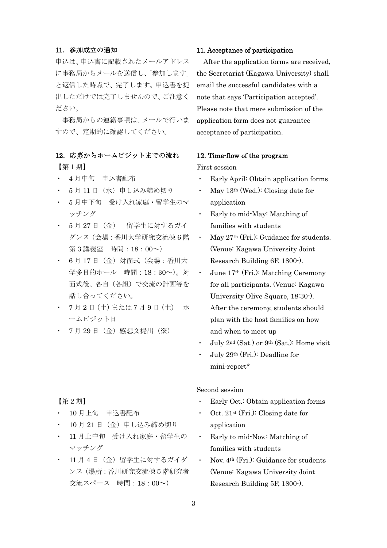### 11.参加成立の通知

申込は、申込書に記載されたメールアドレス に事務局からメールを送信し、「参加します」 と返信した時点で、完了します。申込書を提 出しただけでは完了しませんので、ご注意く ださい。

 事務局からの連絡事項は、メールで行いま すので、定期的に確認してください。

### 12.応募からホームビジットまでの流れ

【第1期】

- ・ 4 月中旬 申込書配布
- ・ 5 月 11 日(水)申し込み締め切り
- ・ 5 月中下旬 受け入れ家庭・留学生のマ ッチング
- ・ 5 月 27 日(金) 留学生に対するガイ ダンス(会場:香川大学研究交流棟 6 階 第 3 講義室 時間:18:00~)
- ・ 6 月 17 日(金)対面式(会場:香川大 学多目的ホール 時間:18:30~)。対 面式後、各自(各組)で交流の計画等を 話し合ってください。
- ・ 7 月 2 日(土)または7月 9 日(土) ホ ームビジット日
- ・ 7 月 29 日(金)感想文提出(※)

## 【第2期】

- ・ 10 月上旬 申込書配布
- ・ 10 月 21 日(金)申し込み締め切り
- ・ 11 月上中旬 受け入れ家庭・留学生の マッチング
- 11 月 4 日 (金) 留学生に対するガイダ ンス(場所:香川研究交流棟5階研究者 交流スペース 時間:18:00~)

### 11. Acceptance of participation

After the application forms are received, the Secretariat (Kagawa University) shall email the successful candidates with a note that says 'Participation accepted'. Please note that mere submission of the application form does not guarantee acceptance of participation.

### 12. Time-flow of the program

### First session

- Early April: Obtain application forms
- May  $13<sup>th</sup>$  (Wed.): Closing date for application
- Early to mid-May: Matching of families with students
- May  $27<sup>th</sup>$  (Fri.): Guidance for students. (Venue: Kagawa University Joint Research Building 6F, 1800-).
- June 17<sup>th</sup> (Fri.): Matching Ceremony for all participants. (Venue: Kagawa University Olive Square, 18:30-). After the ceremony, students should plan with the host families on how and when to meet up
- July  $2<sup>nd</sup>$  (Sat.) or  $9<sup>th</sup>$  (Sat.): Home visit
- ・ July 29th (Fri.): Deadline for mini-report\*

# Second session

- Early Oct.: Obtain application forms
- Oct.  $21^{st}$  (Fri.): Closing date for application
- Early to mid-Nov.: Matching of families with students
- Nov.  $4<sup>th</sup>$  (Fri.): Guidance for students (Venue: Kagawa University Joint Research Building 5F, 1800-).